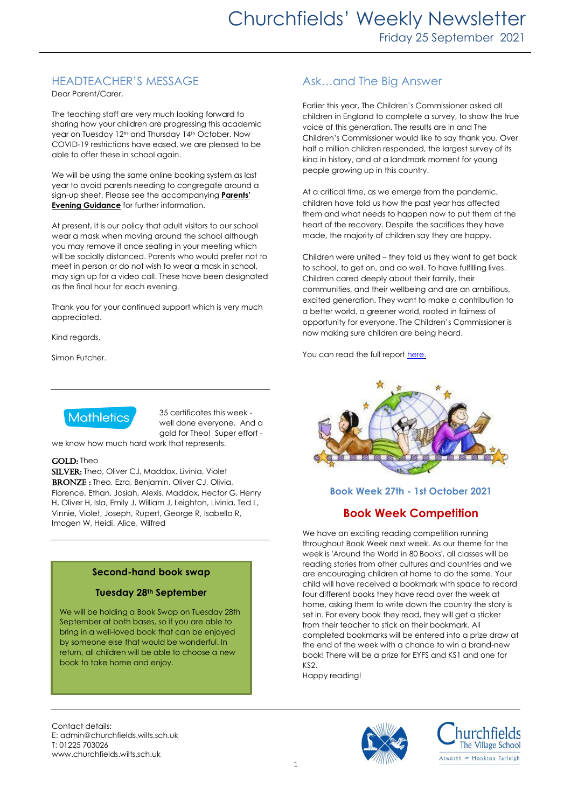# HEADTEACHER'S MESSAGE

Dear Parent/Carer,

The teaching staff are very much looking forward to sharing how your children are progressing this academic year on Tuesday 12<sup>th</sup> and Thursday 14<sup>th</sup> October. Now COVID-19 restrictions have eased, we are pleased to be able to offer these in school again.

We will be using the same online booking system as last year to avoid parents needing to congregate around a sign-up sheet. Please see the accompanying **Parents' Evening Guidance** for further information.

At present, it is our policy that adult visitors to our school wear a mask when moving around the school although you may remove it once seating in your meeting which will be socially distanced. Parents who would prefer not to meet in person or do not wish to wear a mask in school, may sign up for a video call. These have been designated as the final hour for each evening.

Thank you for your continued support which is very much appreciated.

Kind regards,

Simon Futcher.



35 certificates this week well done everyone. And a gold for Theo! Super effort -

we know how much hard work that represents.

#### GOLD: Theo

SILVER: Theo, Oliver CJ, Maddox, Livinia, Violet BRONZE: Theo, Ezra, Benjamin, Oliver CJ, Olivia, Florence, Ethan, Josiah, Alexis, Maddox, Hector G, Henry H, Oliver H, Isla, Emily J, William J, Leighton, Livinia, Ted L, Vinnie, Violet, Joseph, Rupert, George R, Isabella R, Imogen W, Heidi, Alice, Wilfred

## **Second-hand book swap**

#### **Tuesday 28th September**

We will be holding a Book Swap on Tuesday 28th September at both bases, so if you are able to bring in a well-loved book that can be enjoyed by someone else that would be wonderful. In return, all children will be able to choose a new book to take home and enjoy.

## Ask…and The Big Answer

Earlier this year, The Children's Commissioner asked all children in England to complete a survey, to show the true voice of this generation. The results are in and The Children's Commissioner would like to say thank you. Over half a million children responded, the largest survey of its kind in history, and at a landmark moment for young people growing up in this country.

At a critical time, as we emerge from the pandemic, children have told us how the past year has affected them and what needs to happen now to put them at the heart of the recovery. Despite the sacrifices they have made, the majority of children say they are happy.

Children were united – they told us they want to get back to school, to get on, and do well. To have fulfilling lives. Children cared deeply about their family, their communities, and their wellbeing and are an ambitious, excited generation. They want to make a contribution to a better world, a greener world, rooted in fairness of opportunity for everyone. The Children's Commissioner is now making sure children are being heard.

You can read the full repor[t here.](https://www.childrenscommissioner.gov.uk/the-big-answer)



## **Book Week 27th - 1st October 2021**

## **Book Week Competition**

We have an exciting reading competition running throughout Book Week next week. As our theme for the week is 'Around the World in 80 Books', all classes will be reading stories from other cultures and countries and we are encouraging children at home to do the same. Your child will have received a bookmark with space to record four different books they have read over the week at home, asking them to write down the country the story is set in. For every book they read, they will get a sticker from their teacher to stick on their bookmark. All completed bookmarks will be entered into a prize draw at the end of the week with a chance to win a brand-new book! There will be a prize for EYFS and KS1 and one for KS2.

Happy reading!

Contact details: E: admin@churchfields.wilts.sch.uk T: 01225 703026 www.churchfields.wilts.sch.uk



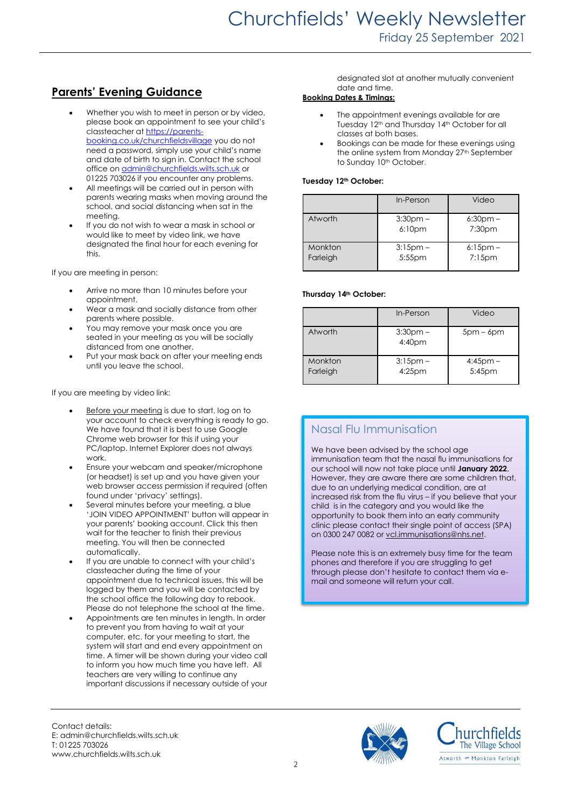# **Parents' Evening Guidance**

- Whether you wish to meet in person or by video, please book an appointment to see your child's classteacher at [https://parents](https://parents-booking.co.uk/churchfieldsvillage)[booking.co.uk/churchfieldsvillage](https://parents-booking.co.uk/churchfieldsvillage) you do not need a password, simply use your child's name and date of birth to sign in. Contact the school office on **admin@churchfields.wilts.sch.uk** or 01225 703026 if you encounter any problems.
- All meetings will be carried out in person with parents wearing masks when moving around the school, and social distancing when sat in the meeting.
- If you do not wish to wear a mask in school or would like to meet by video link, we have designated the final hour for each evening for this.

If you are meeting in person:

- Arrive no more than 10 minutes before your appointment.
- Wear a mask and socially distance from other parents where possible.
- You may remove your mask once you are seated in your meeting as you will be socially distanced from one another.
- Put your mask back on after your meeting ends until you leave the school.

If you are meeting by video link:

- Before your meeting is due to start, log on to your account to check everything is ready to go. We have found that it is best to use Google Chrome web browser for this if using your PC/laptop. Internet Explorer does not always work.
- Ensure your webcam and speaker/microphone (or headset) is set up and you have given your web browser access permission if required (often found under 'privacy' settings).
- Several minutes before your meeting, a blue 'JOIN VIDEO APPOINTMENT' button will appear in your parents' booking account. Click this then wait for the teacher to finish their previous meeting. You will then be connected automatically.
- If you are unable to connect with your child's classteacher during the time of your appointment due to technical issues, this will be logged by them and you will be contacted by the school office the following day to rebook. Please do not telephone the school at the time.
- Appointments are ten minutes in length. In order to prevent you from having to wait at your computer, etc. for your meeting to start, the system will start and end every appointment on time. A timer will be shown during your video call to inform you how much time you have left. All teachers are very willing to continue any important discussions if necessary outside of your

designated slot at another mutually convenient date and time.

## **Booking Dates & Timings:**

- The appointment evenings available for are Tuesday 12<sup>th</sup> and Thursday 14<sup>th</sup> October for all classes at both bases.
- Bookings can be made for these evenings using the online system from Monday 27<sup>th</sup> September to Sunday 10<sup>th</sup> October.

#### **Tuesday 12th October:**

|                     | In-Person                        | Video                    |
|---------------------|----------------------------------|--------------------------|
| Atworth             | $3:30pm -$<br>6:10 <sub>pm</sub> | $6:30$ pm $-$<br>7:30pm  |
| Monkton<br>Farleigh | $3:15$ pm $-$<br>5:55pm          | $6:15$ pm –<br>$7:15$ pm |

#### **Thursday 14th October:**

|                     | In-Person                | Video                   |
|---------------------|--------------------------|-------------------------|
| Atworth             | $3:30$ pm $-$<br>4:40pm  | $5pm - 6pm$             |
| Monkton<br>Farleigh | $3:15$ pm –<br>$4:25$ pm | $4:45$ pm $-$<br>5:45pm |

## Nasal Flu Immunisation

We have been advised by the school age immunisation team that the nasal flu immunisations for our school will now not take place until **January 2022**, However, they are aware there are some children that, due to an underlying medical condition, are at increased risk from the flu virus – if you believe that your child is in the category and you would like the opportunity to book them into an early community clinic please contact their single point of access (SPA) on 0300 247 0082 or [vcl.immunisations@nhs.net.](mailto:vcl.immunisations@nhs.net)

Please note this is an extremely busy time for the team phones and therefore if you are struggling to get through please don't hesitate to contact them via email and someone will return your call.



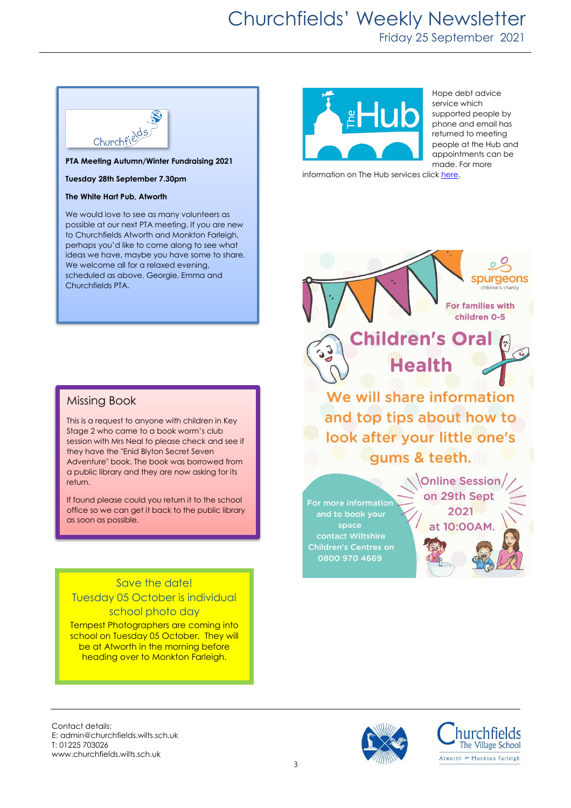# Churchfields' Weekly Newsletter

Friday 25 September 2021



**Tuesday 28th September 7.30pm**

#### **The White Hart Pub, Atworth**

We would love to see as many volunteers as possible at our next PTA meeting. If you are new to Churchfields Atworth and Monkton Farleigh, perhaps you'd like to come along to see what ideas we have, maybe you have some to share. We welcome all for a relaxed evening, scheduled as above. Georgie, Emma and Churchfields PTA.

## Missing Book

Many thanks

This is a request to anyone with children in Key Stage 2 who came to a book worm's club session with Mrs Neal to please check and see if they have the "Enid Blyton Secret Seven Adventure" book. The book was borrowed from a public library and they are now asking for its return.

If found please could you return it to the school office so we can get it back to the public library as soon as possible.

# Save the date! Tuesday 05 October is individual school photo day

Tempest Photographers are coming into school on Tuesday 05 October. They will be at Atworth in the morning before heading over to Monkton Farleigh.



#### Hope debt advice service which supported people by phone and email has returned to meeting people at the Hub and appointments can be made. For more

information on The Hub services clic[k here.](https://www.boahub.co.uk/) 

purgeons children's charity **For families with** children 0-5 dren's Oral ブるる **Health** We will share information and top tips about how to look after your little one's gums & teeth. **Online Session** on 29th Sept For more information 2021 and to book your space at 10:00AM. contact Wiltshire **Children's Centres on** 0800 970 4669

Contact details: E: admin@churchfields.wilts.sch.uk T: 01225 703026 www.churchfields.wilts.sch.uk